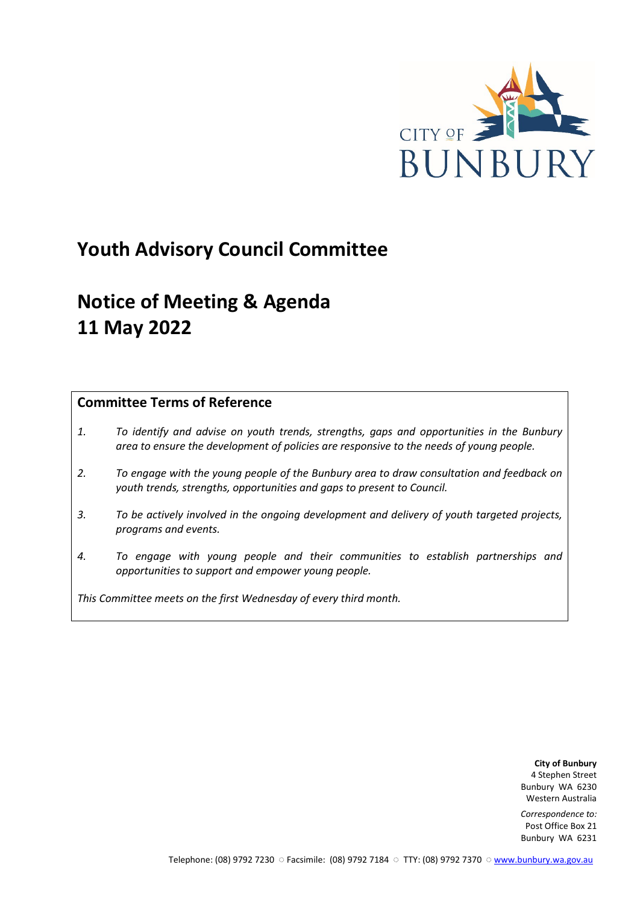

## **Youth Advisory Council Committee**

# **Notice of Meeting & Agenda 11 May 2022**

### **Committee Terms of Reference**

- *1. To identify and advise on youth trends, strengths, gaps and opportunities in the Bunbury area to ensure the development of policies are responsive to the needs of young people.*
- *2. To engage with the young people of the Bunbury area to draw consultation and feedback on youth trends, strengths, opportunities and gaps to present to Council.*
- *3. To be actively involved in the ongoing development and delivery of youth targeted projects, programs and events.*
- *4. To engage with young people and their communities to establish partnerships and opportunities to support and empower young people.*

*This Committee meets on the first Wednesday of every third month.*

**City of Bunbury** 4 Stephen Street Bunbury WA 6230 Western Australia

*Correspondence to:* Post Office Box 21 Bunbury WA 6231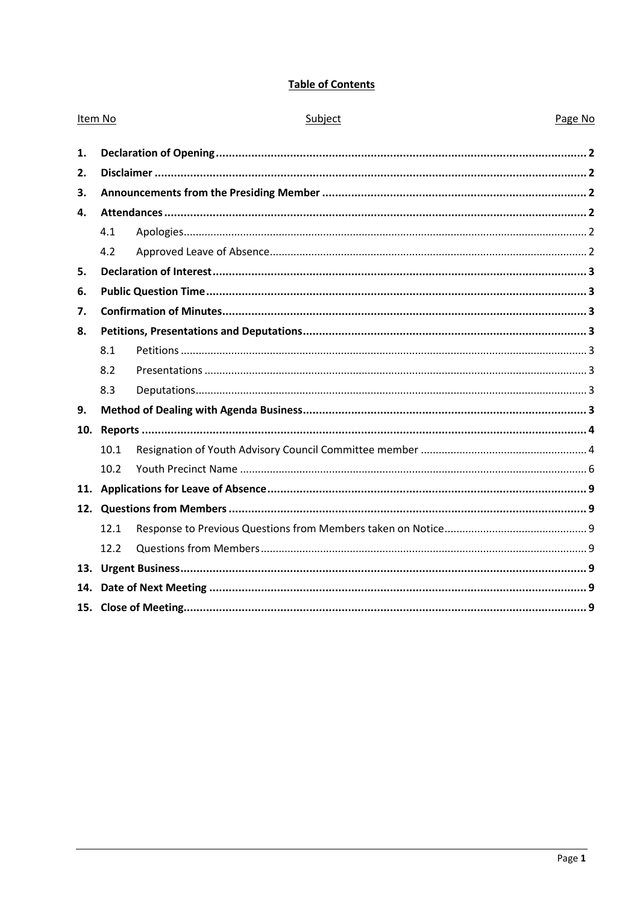### **Table of Contents**

| Item No |      | Subject | Page No |
|---------|------|---------|---------|
| 1.      |      |         |         |
| 2.      |      |         |         |
| 3.      |      |         |         |
| 4.      |      |         |         |
|         | 4.1  |         |         |
|         | 4.2  |         |         |
| 5.      |      |         |         |
| 6.      |      |         |         |
| 7.      |      |         |         |
| 8.      |      |         |         |
|         | 8.1  |         |         |
|         | 8.2  |         |         |
|         | 8.3  |         |         |
| 9.      |      |         |         |
| 10.     |      |         |         |
|         | 10.1 |         |         |
|         | 10.2 |         |         |
|         |      |         |         |
|         |      |         |         |
|         | 12.1 |         |         |
|         | 12.2 |         |         |
|         |      |         |         |
| 14.     |      |         |         |
|         |      |         |         |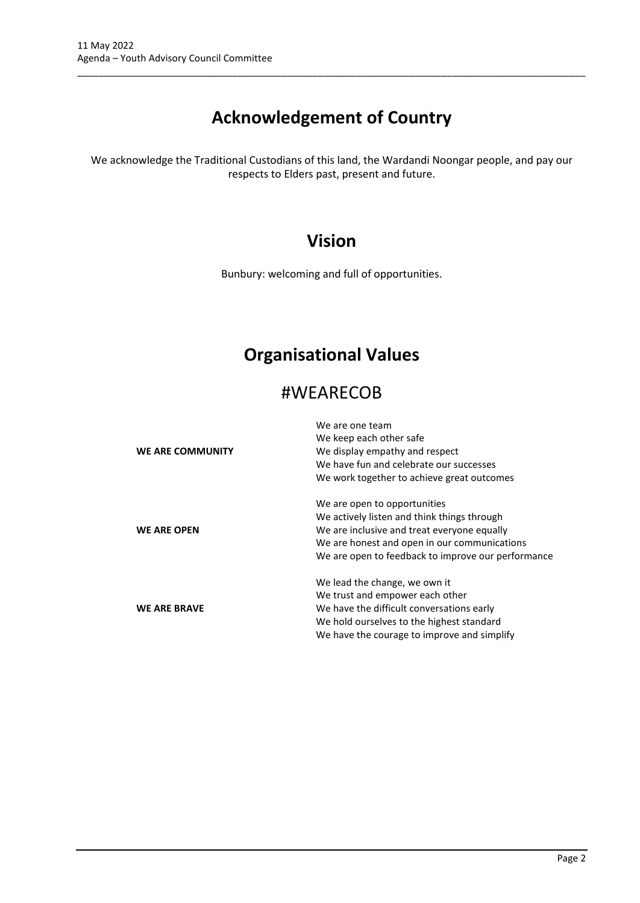# **Acknowledgement of Country**

\_\_\_\_\_\_\_\_\_\_\_\_\_\_\_\_\_\_\_\_\_\_\_\_\_\_\_\_\_\_\_\_\_\_\_\_\_\_\_\_\_\_\_\_\_\_\_\_\_\_\_\_\_\_\_\_\_\_\_\_\_\_\_\_\_\_\_\_\_\_\_\_\_\_\_\_\_\_\_\_\_\_\_\_\_\_\_\_\_\_\_\_\_\_\_

We acknowledge the Traditional Custodians of this land, the Wardandi Noongar people, and pay our respects to Elders past, present and future.

### **Vision**

Bunbury: welcoming and full of opportunities.

### **Organisational Values**

### #WEARECOB

|                         | We are one team<br>We keep each other safe         |
|-------------------------|----------------------------------------------------|
| <b>WE ARE COMMUNITY</b> | We display empathy and respect                     |
|                         | We have fun and celebrate our successes            |
|                         | We work together to achieve great outcomes         |
|                         | We are open to opportunities                       |
|                         | We actively listen and think things through        |
| <b>WE ARE OPEN</b>      | We are inclusive and treat everyone equally        |
|                         | We are honest and open in our communications       |
|                         | We are open to feedback to improve our performance |
|                         | We lead the change, we own it                      |
|                         | We trust and empower each other                    |
| <b>WE ARE BRAVE</b>     | We have the difficult conversations early          |
|                         | We hold ourselves to the highest standard          |
|                         | We have the courage to improve and simplify        |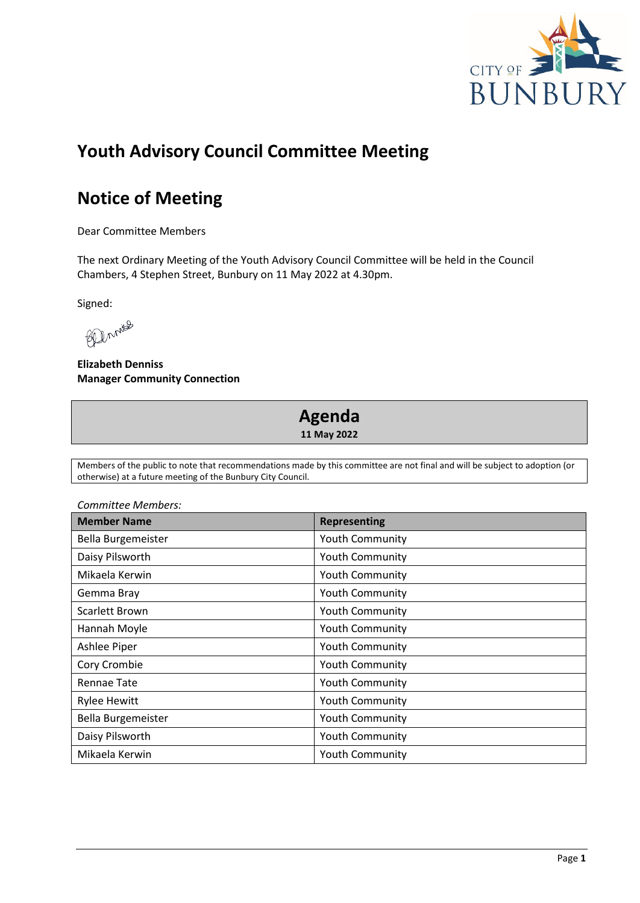

## **Youth Advisory Council Committee Meeting**

## **Notice of Meeting**

Dear Committee Members

The next Ordinary Meeting of the Youth Advisory Council Committee will be held in the Council Chambers, 4 Stephen Street, Bunbury on 11 May 2022 at 4.30pm.

Signed:

Beenwas

**Elizabeth Denniss Manager Community Connection**

### **Agenda 11 May 2022**

Members of the public to note that recommendations made by this committee are not final and will be subject to adoption (or otherwise) at a future meeting of the Bunbury City Council.

| Committee Members:  |                        |  |
|---------------------|------------------------|--|
| <b>Member Name</b>  | <b>Representing</b>    |  |
| Bella Burgemeister  | Youth Community        |  |
| Daisy Pilsworth     | Youth Community        |  |
| Mikaela Kerwin      | <b>Youth Community</b> |  |
| Gemma Bray          | <b>Youth Community</b> |  |
| Scarlett Brown      | <b>Youth Community</b> |  |
| Hannah Moyle        | <b>Youth Community</b> |  |
| Ashlee Piper        | <b>Youth Community</b> |  |
| Cory Crombie        | <b>Youth Community</b> |  |
| Rennae Tate         | Youth Community        |  |
| <b>Rylee Hewitt</b> | <b>Youth Community</b> |  |
| Bella Burgemeister  | Youth Community        |  |
| Daisy Pilsworth     | <b>Youth Community</b> |  |
| Mikaela Kerwin      | <b>Youth Community</b> |  |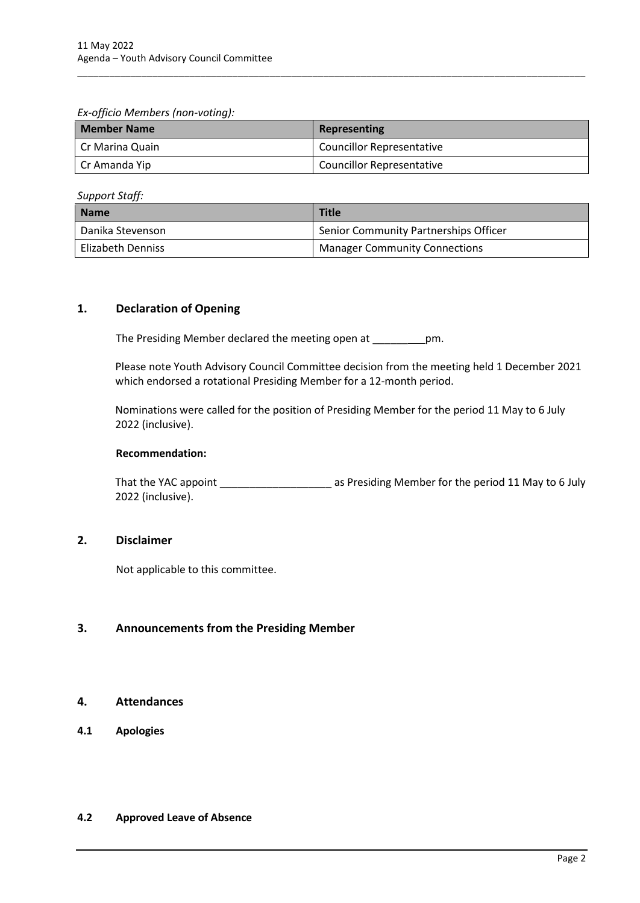*Ex-officio Members (non-voting):* 

| <b>Member Name</b> | Representing                     |
|--------------------|----------------------------------|
| l Cr Marina Quain  | <b>Councillor Representative</b> |
| Cr Amanda Yip      | <b>Councillor Representative</b> |

\_\_\_\_\_\_\_\_\_\_\_\_\_\_\_\_\_\_\_\_\_\_\_\_\_\_\_\_\_\_\_\_\_\_\_\_\_\_\_\_\_\_\_\_\_\_\_\_\_\_\_\_\_\_\_\_\_\_\_\_\_\_\_\_\_\_\_\_\_\_\_\_\_\_\_\_\_\_\_\_\_\_\_\_\_\_\_\_\_\_\_\_\_\_\_

*Support Staff:*

| <b>Name</b>        | <b>Title</b>                          |
|--------------------|---------------------------------------|
| l Danika Stevenson | Senior Community Partnerships Officer |
| Elizabeth Denniss  | <b>Manager Community Connections</b>  |

#### <span id="page-4-0"></span>**1. Declaration of Opening**

The Presiding Member declared the meeting open at \_\_\_\_\_\_ pm.

Please note Youth Advisory Council Committee decision from the meeting held 1 December 2021 which endorsed a rotational Presiding Member for a 12-month period.

Nominations were called for the position of Presiding Member for the period 11 May to 6 July 2022 (inclusive).

#### **Recommendation:**

That the YAC appoint \_\_\_\_\_\_\_\_\_\_\_\_\_\_\_\_\_\_\_\_\_\_\_\_\_\_ as Presiding Member for the period 11 May to 6 July 2022 (inclusive).

#### <span id="page-4-1"></span>**2. Disclaimer**

Not applicable to this committee.

#### <span id="page-4-2"></span>**3. Announcements from the Presiding Member**

#### <span id="page-4-3"></span>**4. Attendances**

<span id="page-4-4"></span>**4.1 Apologies**

#### <span id="page-4-5"></span>**4.2 Approved Leave of Absence**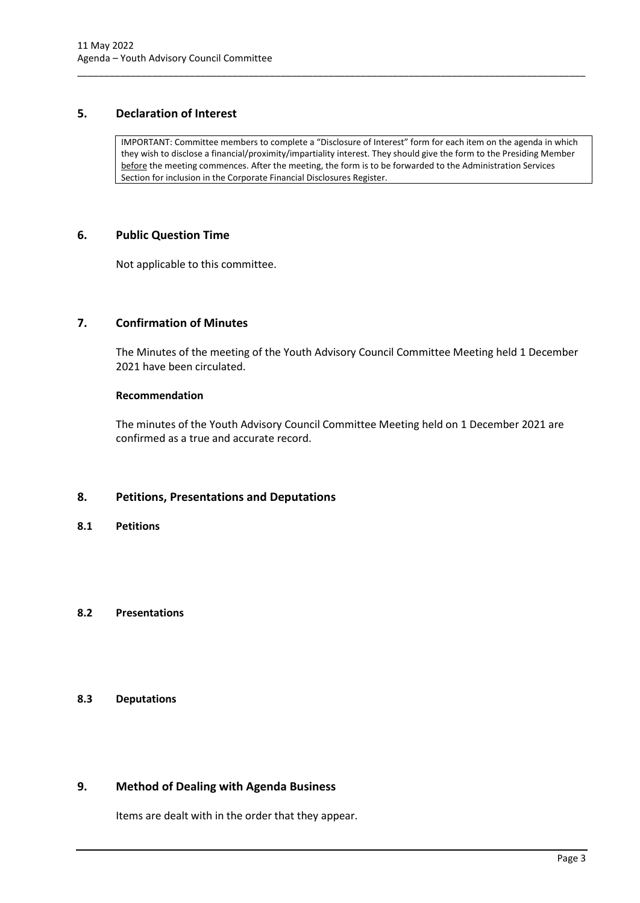#### <span id="page-5-0"></span>**5. Declaration of Interest**

IMPORTANT: Committee members to complete a "Disclosure of Interest" form for each item on the agenda in which they wish to disclose a financial/proximity/impartiality interest. They should give the form to the Presiding Member before the meeting commences. After the meeting, the form is to be forwarded to the Administration Services Section for inclusion in the Corporate Financial Disclosures Register.

\_\_\_\_\_\_\_\_\_\_\_\_\_\_\_\_\_\_\_\_\_\_\_\_\_\_\_\_\_\_\_\_\_\_\_\_\_\_\_\_\_\_\_\_\_\_\_\_\_\_\_\_\_\_\_\_\_\_\_\_\_\_\_\_\_\_\_\_\_\_\_\_\_\_\_\_\_\_\_\_\_\_\_\_\_\_\_\_\_\_\_\_\_\_\_

#### <span id="page-5-1"></span>**6. Public Question Time**

Not applicable to this committee.

#### <span id="page-5-2"></span>**7. Confirmation of Minutes**

The Minutes of the meeting of the Youth Advisory Council Committee Meeting held 1 December 2021 have been circulated.

#### **Recommendation**

The minutes of the Youth Advisory Council Committee Meeting held on 1 December 2021 are confirmed as a true and accurate record.

#### <span id="page-5-3"></span>**8. Petitions, Presentations and Deputations**

<span id="page-5-4"></span>**8.1 Petitions**

#### <span id="page-5-5"></span>**8.2 Presentations**

#### <span id="page-5-6"></span>**8.3 Deputations**

#### <span id="page-5-7"></span>**9. Method of Dealing with Agenda Business**

Items are dealt with in the order that they appear.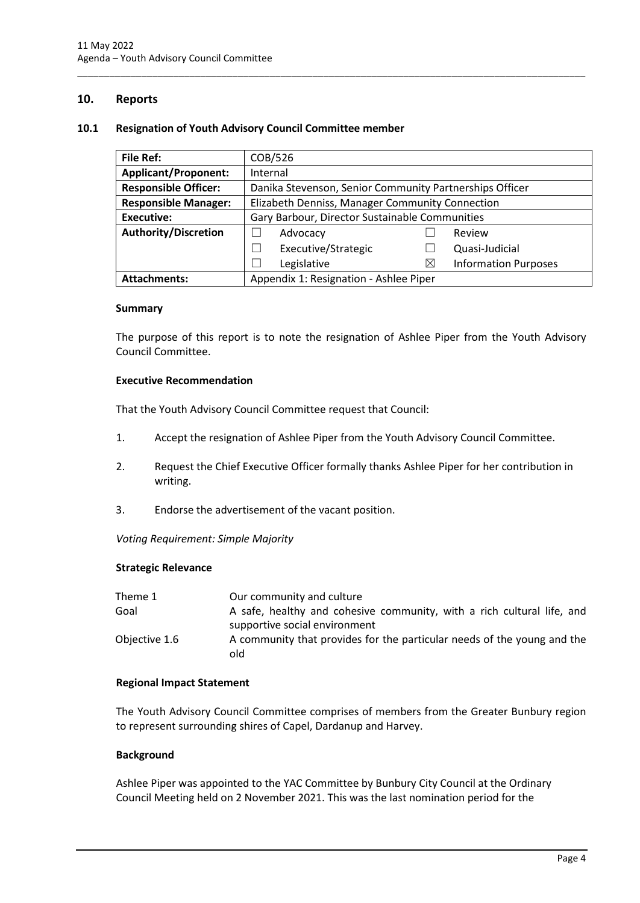#### <span id="page-6-0"></span>**10. Reports**

#### <span id="page-6-1"></span>**10.1 Resignation of Youth Advisory Council Committee member**

| <b>File Ref:</b>            | COB/526                                                 |          |                             |
|-----------------------------|---------------------------------------------------------|----------|-----------------------------|
| <b>Applicant/Proponent:</b> | Internal                                                |          |                             |
| <b>Responsible Officer:</b> | Danika Stevenson, Senior Community Partnerships Officer |          |                             |
| <b>Responsible Manager:</b> | Elizabeth Denniss, Manager Community Connection         |          |                             |
| Executive:                  | Gary Barbour, Director Sustainable Communities          |          |                             |
| <b>Authority/Discretion</b> | Advocacy                                                |          | Review                      |
|                             | Executive/Strategic                                     |          | Quasi-Judicial              |
|                             | Legislative                                             | $\times$ | <b>Information Purposes</b> |
| <b>Attachments:</b>         | Appendix 1: Resignation - Ashlee Piper                  |          |                             |

\_\_\_\_\_\_\_\_\_\_\_\_\_\_\_\_\_\_\_\_\_\_\_\_\_\_\_\_\_\_\_\_\_\_\_\_\_\_\_\_\_\_\_\_\_\_\_\_\_\_\_\_\_\_\_\_\_\_\_\_\_\_\_\_\_\_\_\_\_\_\_\_\_\_\_\_\_\_\_\_\_\_\_\_\_\_\_\_\_\_\_\_\_\_\_

#### **Summary**

The purpose of this report is to note the resignation of Ashlee Piper from the Youth Advisory Council Committee.

#### **Executive Recommendation**

That the Youth Advisory Council Committee request that Council:

- 1. Accept the resignation of Ashlee Piper from the Youth Advisory Council Committee.
- 2. Request the Chief Executive Officer formally thanks Ashlee Piper for her contribution in writing.
- 3. Endorse the advertisement of the vacant position.

*Voting Requirement: Simple Majority* 

#### **Strategic Relevance**

| Theme 1       | Our community and culture                                               |
|---------------|-------------------------------------------------------------------------|
| Goal          | A safe, healthy and cohesive community, with a rich cultural life, and  |
|               | supportive social environment                                           |
| Objective 1.6 | A community that provides for the particular needs of the young and the |
|               | old                                                                     |

#### **Regional Impact Statement**

The Youth Advisory Council Committee comprises of members from the Greater Bunbury region to represent surrounding shires of Capel, Dardanup and Harvey.

#### **Background**

Ashlee Piper was appointed to the YAC Committee by Bunbury City Council at the Ordinary Council Meeting held on 2 November 2021. This was the last nomination period for the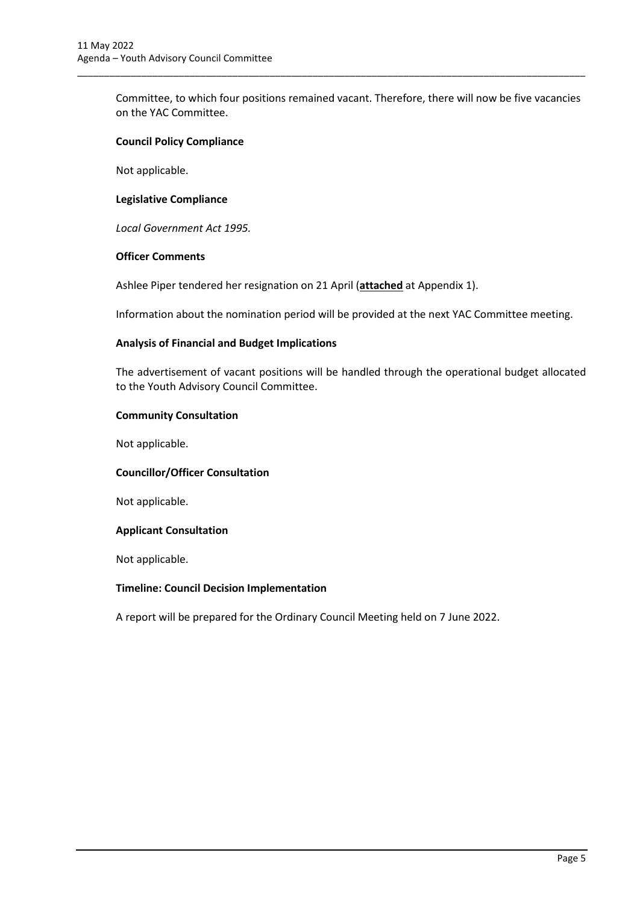Committee, to which four positions remained vacant. Therefore, there will now be five vacancies on the YAC Committee.

\_\_\_\_\_\_\_\_\_\_\_\_\_\_\_\_\_\_\_\_\_\_\_\_\_\_\_\_\_\_\_\_\_\_\_\_\_\_\_\_\_\_\_\_\_\_\_\_\_\_\_\_\_\_\_\_\_\_\_\_\_\_\_\_\_\_\_\_\_\_\_\_\_\_\_\_\_\_\_\_\_\_\_\_\_\_\_\_\_\_\_\_\_\_\_

#### **Council Policy Compliance**

Not applicable.

#### **Legislative Compliance**

*Local Government Act 1995.* 

#### **Officer Comments**

Ashlee Piper tendered her resignation on 21 April (**attached** at Appendix 1).

Information about the nomination period will be provided at the next YAC Committee meeting.

#### **Analysis of Financial and Budget Implications**

The advertisement of vacant positions will be handled through the operational budget allocated to the Youth Advisory Council Committee.

#### **Community Consultation**

Not applicable.

#### **Councillor/Officer Consultation**

Not applicable.

#### **Applicant Consultation**

Not applicable.

#### **Timeline: Council Decision Implementation**

A report will be prepared for the Ordinary Council Meeting held on 7 June 2022.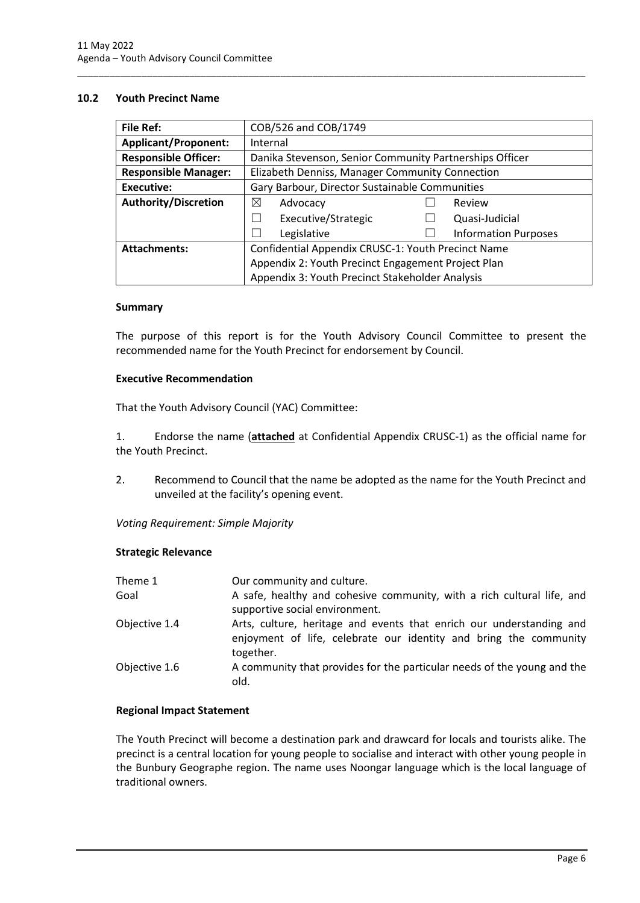#### <span id="page-8-0"></span>**10.2 Youth Precinct Name**

| <b>File Ref:</b>            | COB/526 and COB/1749                                    |                                                    |                             |  |
|-----------------------------|---------------------------------------------------------|----------------------------------------------------|-----------------------------|--|
| <b>Applicant/Proponent:</b> | Internal                                                |                                                    |                             |  |
| <b>Responsible Officer:</b> | Danika Stevenson, Senior Community Partnerships Officer |                                                    |                             |  |
| <b>Responsible Manager:</b> | Elizabeth Denniss, Manager Community Connection         |                                                    |                             |  |
| <b>Executive:</b>           | Gary Barbour, Director Sustainable Communities          |                                                    |                             |  |
| <b>Authority/Discretion</b> | ⊠<br>Advocacy                                           |                                                    | Review                      |  |
|                             | Executive/Strategic                                     |                                                    | Quasi-Judicial              |  |
|                             | Legislative                                             |                                                    | <b>Information Purposes</b> |  |
| <b>Attachments:</b>         |                                                         | Confidential Appendix CRUSC-1: Youth Precinct Name |                             |  |
|                             | Appendix 2: Youth Precinct Engagement Project Plan      |                                                    |                             |  |
|                             | Appendix 3: Youth Precinct Stakeholder Analysis         |                                                    |                             |  |

\_\_\_\_\_\_\_\_\_\_\_\_\_\_\_\_\_\_\_\_\_\_\_\_\_\_\_\_\_\_\_\_\_\_\_\_\_\_\_\_\_\_\_\_\_\_\_\_\_\_\_\_\_\_\_\_\_\_\_\_\_\_\_\_\_\_\_\_\_\_\_\_\_\_\_\_\_\_\_\_\_\_\_\_\_\_\_\_\_\_\_\_\_\_\_

#### **Summary**

The purpose of this report is for the Youth Advisory Council Committee to present the recommended name for the Youth Precinct for endorsement by Council.

#### **Executive Recommendation**

That the Youth Advisory Council (YAC) Committee:

1. Endorse the name (**attached** at Confidential Appendix CRUSC-1) as the official name for the Youth Precinct.

2. Recommend to Council that the name be adopted as the name for the Youth Precinct and unveiled at the facility's opening event.

*Voting Requirement: Simple Majority* 

#### **Strategic Relevance**

| Theme 1       | Our community and culture.                                                      |
|---------------|---------------------------------------------------------------------------------|
| Goal          | A safe, healthy and cohesive community, with a rich cultural life, and          |
|               | supportive social environment.                                                  |
| Objective 1.4 | Arts, culture, heritage and events that enrich our understanding and            |
|               | enjoyment of life, celebrate our identity and bring the community<br>together.  |
| Objective 1.6 | A community that provides for the particular needs of the young and the<br>old. |

#### **Regional Impact Statement**

The Youth Precinct will become a destination park and drawcard for locals and tourists alike. The precinct is a central location for young people to socialise and interact with other young people in the Bunbury Geographe region. The name uses Noongar language which is the local language of traditional owners.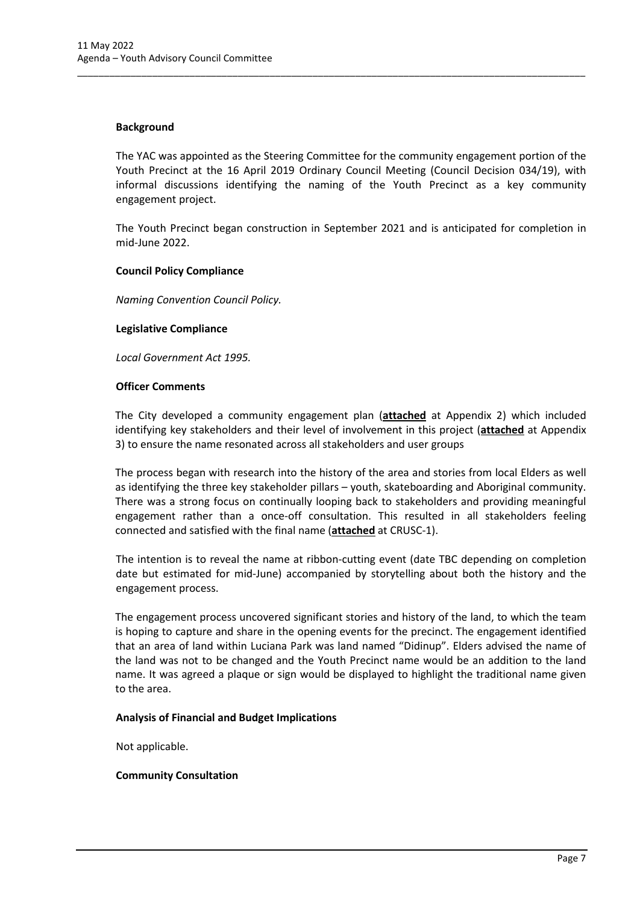#### **Background**

The YAC was appointed as the Steering Committee for the community engagement portion of the Youth Precinct at the 16 April 2019 Ordinary Council Meeting (Council Decision 034/19), with informal discussions identifying the naming of the Youth Precinct as a key community engagement project.

\_\_\_\_\_\_\_\_\_\_\_\_\_\_\_\_\_\_\_\_\_\_\_\_\_\_\_\_\_\_\_\_\_\_\_\_\_\_\_\_\_\_\_\_\_\_\_\_\_\_\_\_\_\_\_\_\_\_\_\_\_\_\_\_\_\_\_\_\_\_\_\_\_\_\_\_\_\_\_\_\_\_\_\_\_\_\_\_\_\_\_\_\_\_\_

The Youth Precinct began construction in September 2021 and is anticipated for completion in mid-June 2022.

#### **Council Policy Compliance**

*Naming Convention Council Policy.* 

#### **Legislative Compliance**

*Local Government Act 1995.* 

#### **Officer Comments**

The City developed a community engagement plan (**attached** at Appendix 2) which included identifying key stakeholders and their level of involvement in this project (**attached** at Appendix 3) to ensure the name resonated across all stakeholders and user groups

The process began with research into the history of the area and stories from local Elders as well as identifying the three key stakeholder pillars – youth, skateboarding and Aboriginal community. There was a strong focus on continually looping back to stakeholders and providing meaningful engagement rather than a once-off consultation. This resulted in all stakeholders feeling connected and satisfied with the final name (**attached** at CRUSC-1).

The intention is to reveal the name at ribbon-cutting event (date TBC depending on completion date but estimated for mid-June) accompanied by storytelling about both the history and the engagement process.

The engagement process uncovered significant stories and history of the land, to which the team is hoping to capture and share in the opening events for the precinct. The engagement identified that an area of land within Luciana Park was land named "Didinup". Elders advised the name of the land was not to be changed and the Youth Precinct name would be an addition to the land name. It was agreed a plaque or sign would be displayed to highlight the traditional name given to the area.

#### **Analysis of Financial and Budget Implications**

Not applicable.

#### **Community Consultation**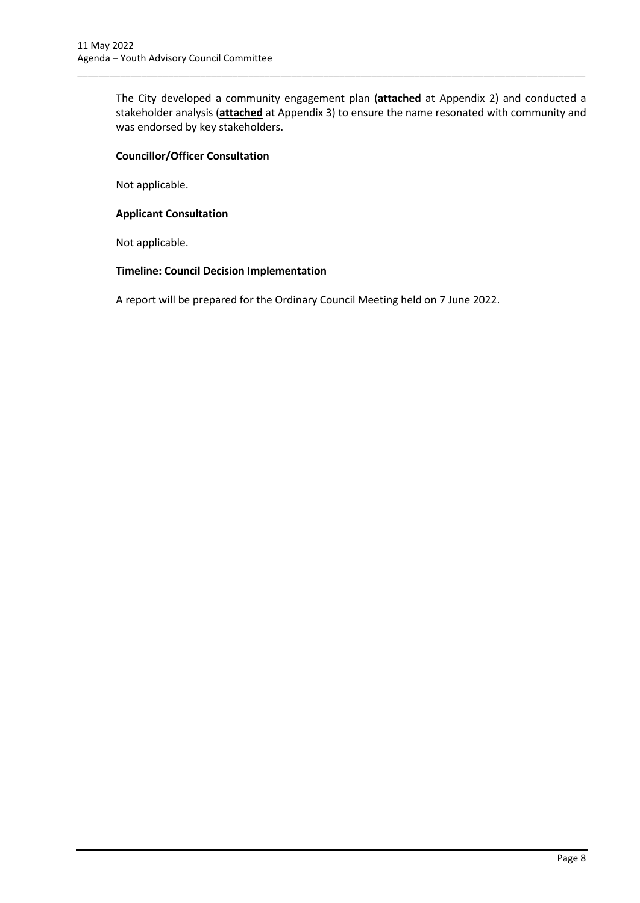The City developed a community engagement plan (**attached** at Appendix 2) and conducted a stakeholder analysis (**attached** at Appendix 3) to ensure the name resonated with community and was endorsed by key stakeholders.

\_\_\_\_\_\_\_\_\_\_\_\_\_\_\_\_\_\_\_\_\_\_\_\_\_\_\_\_\_\_\_\_\_\_\_\_\_\_\_\_\_\_\_\_\_\_\_\_\_\_\_\_\_\_\_\_\_\_\_\_\_\_\_\_\_\_\_\_\_\_\_\_\_\_\_\_\_\_\_\_\_\_\_\_\_\_\_\_\_\_\_\_\_\_\_

#### **Councillor/Officer Consultation**

Not applicable.

#### **Applicant Consultation**

Not applicable.

#### **Timeline: Council Decision Implementation**

A report will be prepared for the Ordinary Council Meeting held on 7 June 2022.